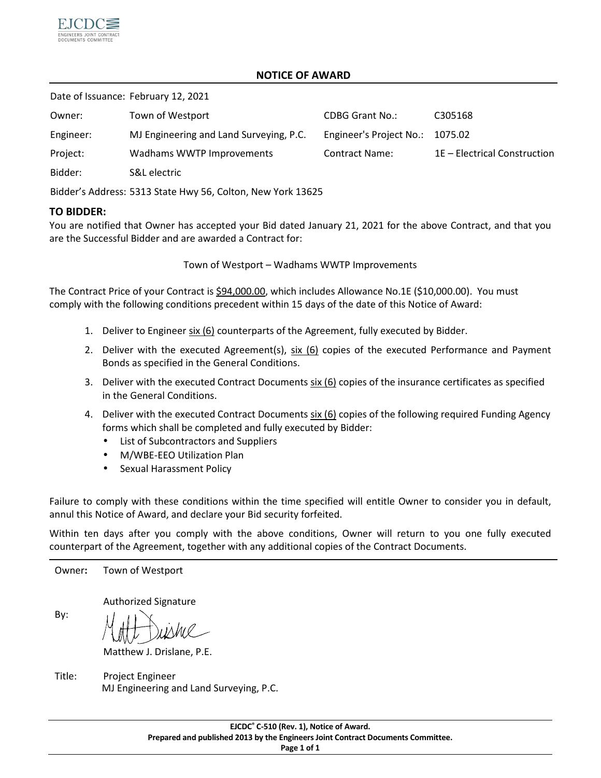

## **NOTICE OF AWARD**

Date of Issuance: February 12, 2021

| Owner:    | Town of Westport                        | <b>CDBG Grant No.:</b>  | C305168                      |
|-----------|-----------------------------------------|-------------------------|------------------------------|
| Engineer: | MJ Engineering and Land Surveying, P.C. | Engineer's Project No.: | 1075.02                      |
| Project:  | Wadhams WWTP Improvements               | <b>Contract Name:</b>   | 1E - Electrical Construction |
| Bidder:   | S&L electric                            |                         |                              |

Bidder's Address: 5313 State Hwy 56, Colton, New York 13625

## **TO BIDDER:**

You are notified that Owner has accepted your Bid dated January 21, 2021 for the above Contract, and that you are the Successful Bidder and are awarded a Contract for:

Town of Westport – Wadhams WWTP Improvements

The Contract Price of your Contract is \$94,000.00, which includes Allowance No.1E (\$10,000.00). You must comply with the following conditions precedent within 15 days of the date of this Notice of Award:

- 1. Deliver to Engineer six (6) counterparts of the Agreement, fully executed by Bidder.
- 2. Deliver with the executed Agreement(s), six (6) copies of the executed Performance and Payment Bonds as specified in the General Conditions.
- 3. Deliver with the executed Contract Documents  $s$ ix (6) copies of the insurance certificates as specified in the General Conditions.
- 4. Deliver with the executed Contract Documents six (6) copies of the following required Funding Agency forms which shall be completed and fully executed by Bidder:
	- List of Subcontractors and Suppliers
	- M/WBE-EEO Utilization Plan
	- Sexual Harassment Policy

Failure to comply with these conditions within the time specified will entitle Owner to consider you in default, annul this Notice of Award, and declare your Bid security forfeited.

Within ten days after you comply with the above conditions, Owner will return to you one fully executed counterpart of the Agreement, together with any additional copies of the Contract Documents.

Owner**:** Town of Westport

Authorized Signature

By:

Matthew J. Drislane, P.E.

Title: Project Engineer MJ Engineering and Land Surveying, P.C.